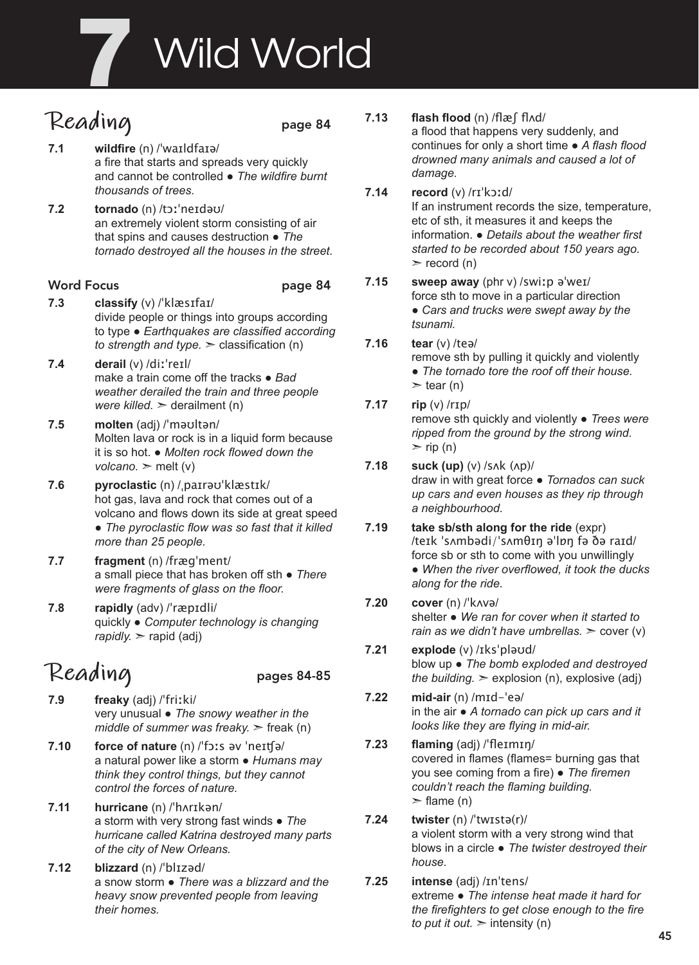# **Wild World**

# **Reading** page 84

- **7.1 wildfire** (n) /ˈwaɪldfaɪə/ a fire that starts and spreads very quickly and cannot be controlled ● *The wildfire burnt thousands of trees.*
- **7.2 tornado** (n) /tɔːˈneɪdəʊ/ an extremely violent storm consisting of air that spins and causes destruction ● *The tornado destroyed all the houses in the street.*

#### Word Focus **page 84**

- **7.3 classify** (v) /ˈklæsɪfaɪ/ divide people or things into groups according to type ● *Earthquakes are classified according to strength and type.*  $\geq$  classification (n)
- **7.4 derail** (v) /diːˈreɪl/ make a train come off the tracks ● *Bad weather derailed the train and three people were killed.* ➣ derailment (n)
- **7.5 molten** (adj) /ˈməʊltən/ Molten lava or rock is in a liquid form because it is so hot. ● *Molten rock flowed down the*   $voleano.$   $\geq$  melt (v)
- **7.6 pyroclastic** (n) /ˌpaɪrəʊˈklæstɪk/ hot gas, lava and rock that comes out of a volcano and flows down its side at great speed ● *The pyroclastic flow was so fast that it killed more than 25 people.*
- **7.7 fragment** (n) /fræɡˈment/ a small piece that has broken off sth ● *There were fragments of glass on the floor.*
- **7.8 rapidly** (adv) /ˈræpɪdli/ quickly ● *Computer technology is changing rapidly.*  $>$  rapid (adj)

# **Reading** pages 84-85

- **7.9 freaky** (adj) /ˈfriːki/ very unusual ● *The snowy weather in the middle of summer was freaky.* > freak (n)
- **7.10 force of nature** (n) /ˈfɔːs əv ˈneɪʧə/ a natural power like a storm ● *Humans may think they control things, but they cannot control the forces of nature.*
- **7.11 hurricane** (n) /ˈhʌrɪkən/ a storm with very strong fast winds ● *The hurricane called Katrina destroyed many parts of the city of New Orleans.*
- **7.12 blizzard** (n) /ˈblɪzəd/ a snow storm ● *There was a blizzard and the heavy snow prevented people from leaving their homes.*

#### **7.13 flash flood** (n) /flæʃ flʌd/

a flood that happens very suddenly, and continues for only a short time ● *A flash flood drowned many animals and caused a lot of damage.* 

- **7.14 record** (v) /rɪˈkɔːd/ If an instrument records the size, temperature, etc of sth, it measures it and keeps the information. ● *Details about the weather first started to be recorded about 150 years ago.*   $\ge$  record (n)
- **7.15 sweep away** (phr v) /swiːp əˈweɪ/ force sth to move in a particular direction ● *Cars and trucks were swept away by the tsunami.*
- **7.16 tear** (v) /teə/ remove sth by pulling it quickly and violently ● *The tornado tore the roof off their house.*   $\ge$  tear (n)

#### **7.17 rip** (v) /rɪp/ remove sth quickly and violently ● *Trees were ripped from the ground by the strong wind.*

- $\ge$  rip (n) **7.18 suck (up)** (v) /sʌk (ʌp)/ draw in with great force ● *Tornados can suck up cars and even houses as they rip through a neighbourhood.*
- **7.19 take sb/sth along for the ride** (expr) /teɪk ˈsʌmbədi/ˈsʌmθɪŋ əˈlɒŋ fə ðə raɪd/ force sb or sth to come with you unwillingly ● *When the river overflowed, it took the ducks along for the ride.*
- **7.20 cover** (n) /ˈkʌvə/ shelter ● *We ran for cover when it started to rain as we didn't have umbrellas.*  $\geq$  cover (v)
- **7.21 explode** (v) /ɪksˈpləʊd/ blow up ● *The bomb exploded and destroyed the building.*  $\geq$  explosion (n), explosive (adj)
- **7.22 mid-air** (n) /mɪd-ˈeə/ in the air ● *A tornado can pick up cars and it looks like they are flying in mid-air.*
- **7.23 flaming** (adj) /ˈfleɪmɪŋ/ covered in flames (flames= burning gas that you see coming from a fire) ● *The firemen couldn't reach the flaming building.*  $\ge$  flame (n)

#### **7.24 twister** (n) /ˈtwɪstə(r)/ a violent storm with a very strong wind that blows in a circle ● *The twister destroyed their house.*

**7.25 intense** (adj) /ɪnˈtens/ extreme ● *The intense heat made it hard for the firefighters to get close enough to the fire to put it out.*  $\geq$  intensity (n)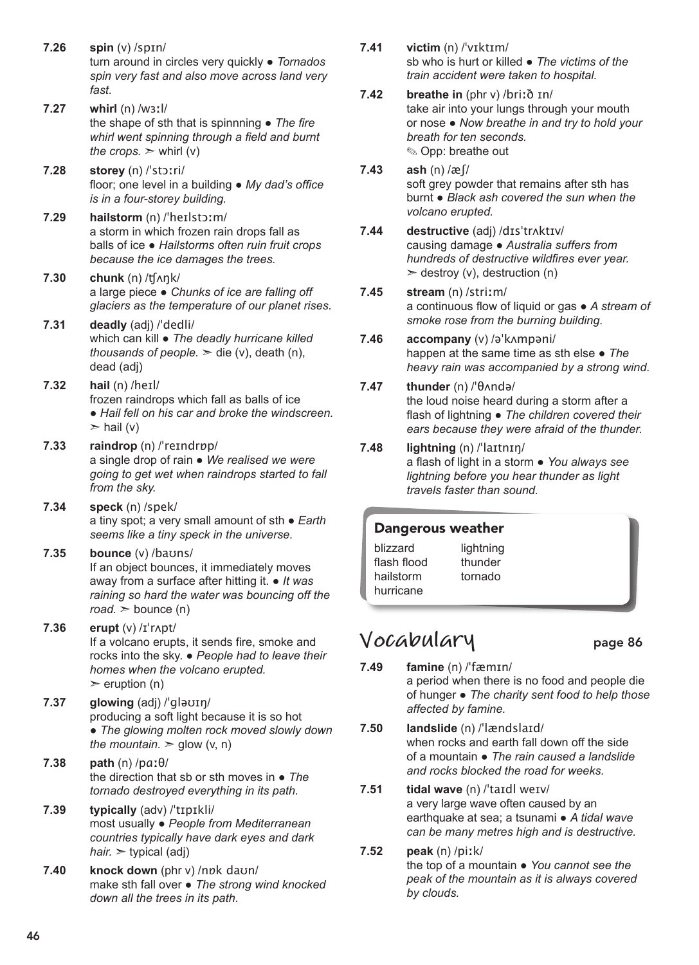- **7.26 spin** (v) /spɪn/ turn around in circles very quickly ● *Tornados spin very fast and also move across land very fast.*
- **7.27 whirl** (n) /wɜːl/ the shape of sth that is spinnning ● *The fire whirl went spinning through a field and burnt the crops.*  $>$  whirl (v)
- **7.28 storey** (n) /ˈstɔːri/ floor; one level in a building ● *My dad's office is in a four-storey building.*
- **7.29 hailstorm** (n) /ˈheɪlstɔːm/ a storm in which frozen rain drops fall as balls of ice ● *Hailstorms often ruin fruit crops because the ice damages the trees.*
- **7.30 chunk** (n) /ʧʌŋk/ a large piece ● *Chunks of ice are falling off glaciers as the temperature of our planet rises.*
- **7.31 deadly** (adj) /ˈdedli/ which can kill ● *The deadly hurricane killed thousands of people.*  $\geq$  die (v), death (n), dead (adj)
- **7.32 hail** (n) /heɪl/ frozen raindrops which fall as balls of ice ● *Hail fell on his car and broke the windscreen.*   $>$  hail (v)
- **7.33 raindrop** (n) /ˈreɪndrɒp/ a single drop of rain ● *We realised we were going to get wet when raindrops started to fall from the sky.*
- **7.34 speck** (n) /spek/ a tiny spot; a very small amount of sth ● *Earth seems like a tiny speck in the universe.*
- **7.35 bounce** (v) /baʊns/ If an object bounces, it immediately moves away from a surface after hitting it. ● *It was raining so hard the water was bouncing off the*   $road.$   $\gt$  bounce (n)
- **7.36 erupt** (v) /ɪˈrʌpt/ If a volcano erupts, it sends fire, smoke and rocks into the sky. ● *People had to leave their homes when the volcano erupted.*   $\ge$  eruption (n)
- **7.37 glowing** (adj) /ˈgləʊɪŋ/ producing a soft light because it is so hot ● *The glowing molten rock moved slowly down the mountain.*  $\ge$  glow (v, n)
- **7.38 path** (n) /pɑːθ/ the direction that sb or sth moves in ● *The tornado destroyed everything in its path.*
- **7.39 typically** (adv) /ˈtɪpɪkli/ most usually ● *People from Mediterranean countries typically have dark eyes and dark hair.*  $\triangleright$  typical (adj)
- **7.40 knock down** (phr v) /nɒk daʊn/ make sth fall over ● *The strong wind knocked down all the trees in its path.*
- **7.41 victim** (n) /ˈvɪktɪm/ sb who is hurt or killed ● *The victims of the train accident were taken to hospital.*
- **7.42 breathe in** (phr v) /briːð ɪn/ take air into your lungs through your mouth or nose ● *Now breathe in and try to hold your breath for ten seconds.* ✎ Opp: breathe out
- **7.43 ash** (n) /æʃ/ soft grey powder that remains after sth has burnt ● *Black ash covered the sun when the volcano erupted.*
- **7.44 destructive** (adj) /dɪsˈtrʌktɪv/ causing damage ● *Australia suffers from hundreds of destructive wildfires ever year.*   $\ge$  destroy (v), destruction (n)
- **7.45 stream** (n) /striːm/ a continuous flow of liquid or gas ● *A stream of smoke rose from the burning building.*
- **7.46 accompany** (v) /əˈkʌmpəni/ happen at the same time as sth else ● *The heavy rain was accompanied by a strong wind.*
- **7.47 thunder** (n) /ˈθʌndə/ the loud noise heard during a storm after a flash of lightning ● *The children covered their ears because they were afraid of the thunder.*
- **7.48 lightning** (n) /ˈlaɪtnɪŋ/

a flash of light in a storm ● *You always see lightning before you hear thunder as light travels faster than sound.*

### Dangerous weather

blizzard flash flood hailstorm hurricane lightning thunder tornado

### **Vocabulary** page 86

- **7.49 famine** (n) /ˈfæmɪn/ a period when there is no food and people die of hunger ● *The charity sent food to help those affected by famine.*
- **7.50 landslide** (n) /ˈlændslaɪd/ when rocks and earth fall down off the side of a mountain ● *The rain caused a landslide and rocks blocked the road for weeks.*
- **7.51 tidal wave** (n) /ˈtaɪdl weɪv/ a very large wave often caused by an earthquake at sea; a tsunami ● *A tidal wave can be many metres high and is destructive.*
- **7.52 peak** (n) /piːk/ the top of a mountain ● *You cannot see the peak of the mountain as it is always covered by clouds.*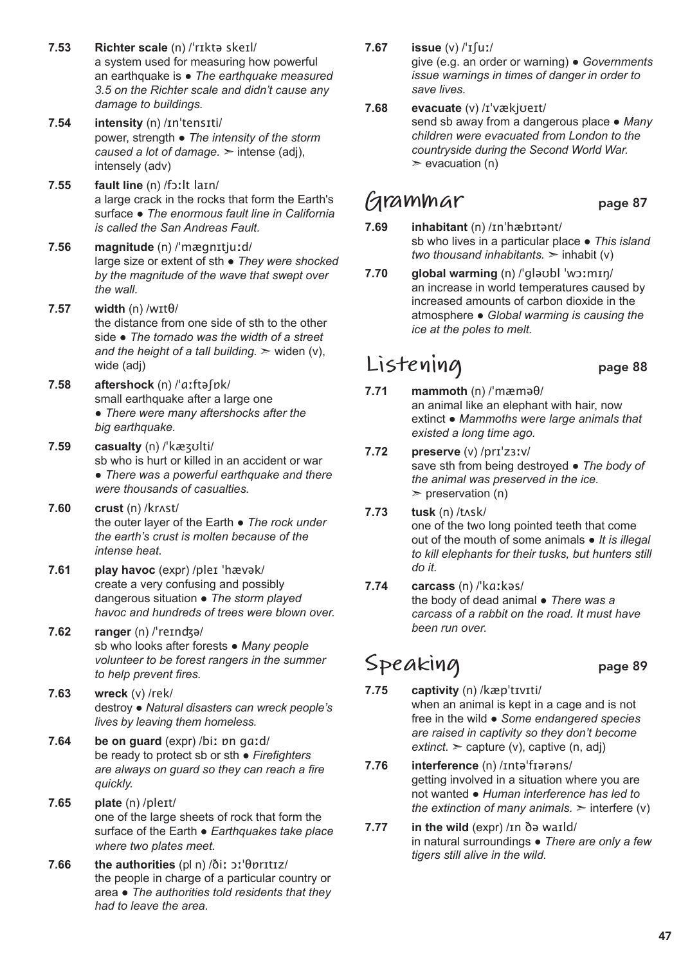- **7.53 Richter scale** (n) /ˈrɪktə skeɪl/ a system used for measuring how powerful an earthquake is ● *The earthquake measured 3.5 on the Richter scale and didn't cause any damage to buildings.*
- **7.54 intensity** (n) /ɪnˈtensɪti/ power, strength ● *The intensity of the storm caused a lot of damage.* ➣ intense (adj), intensely (adv)
- **7.55 fault line** (n) /fɔːlt laɪn/ a large crack in the rocks that form the Earth's surface ● *The enormous fault line in California is called the San Andreas Fault.*

**7.56 magnitude** (n) /ˈmægnɪtjuːd/ large size or extent of sth ● *They were shocked by the magnitude of the wave that swept over the wall.* 

- **7.57 width** (n) /wɪtθ/ the distance from one side of sth to the other side ● *The tornado was the width of a street*  and the height of a tall building.  $\geq$  widen (v), wide (adj)
- **7.58 aftershock** (n) /ˈɑːftəʃɒk/ small earthquake after a large one ● *There were many aftershocks after the big earthquake.*
- **7.59 casualty** (n) /ˈkæʒʊlti/ sb who is hurt or killed in an accident or war ● *There was a powerful earthquake and there were thousands of casualties.*
- **7.60 crust** (n) /krʌst/ the outer layer of the Earth ● *The rock under the earth's crust is molten because of the intense heat.*
- **7.61 play havoc** (expr) /pleɪ ˈhævək/ create a very confusing and possibly dangerous situation ● *The storm played havoc and hundreds of trees were blown over.*
- **7.62 ranger** (n) /ˈreɪnʤə/ sb who looks after forests ● *Many people volunteer to be forest rangers in the summer to help prevent fires.*
- **7.63 wreck** (v) /rek/ destroy ● *Natural disasters can wreck people's lives by leaving them homeless.*
- **7.64 be on guard** (expr) /biː ɒn gɑːd/ be ready to protect sb or sth ● *Firefighters are always on guard so they can reach a fire quickly.*
- **7.65 plate** (n) /pleɪt/ one of the large sheets of rock that form the surface of the Earth ● *Earthquakes take place where two plates meet.*
- **7.66 the authorities** (pl n) /ðiː ɔːˈθɒrɪtɪz/ the people in charge of a particular country or area ● *The authorities told residents that they had to leave the area.*
- **7.67 issue** (v) /ˈɪʃuː/ give (e.g. an order or warning) ● *Governments issue warnings in times of danger in order to save lives.*
- **7.68 evacuate** (v) /ɪˈvækjʊeɪt/ send sb away from a dangerous place ● *Many children were evacuated from London to the countryside during the Second World War.*   $\ge$  evacuation (n)

### **Grammar** page 87

- **7.69 inhabitant** (n) /ɪnˈhæbɪtənt/ sb who lives in a particular place ● *This island two thousand inhabitants.* ➣ inhabit (v)
- **7.70 global warming** (n) /ˈgləʊbl ˈwɔːmɪŋ/ an increase in world temperatures caused by increased amounts of carbon dioxide in the atmosphere ● *Global warming is causing the ice at the poles to melt.*

# **Listening** page 88

- **7.71 mammoth** (n) /ˈmæməθ/ an animal like an elephant with hair, now extinct ● *Mammoths were large animals that existed a long time ago.*
- **7.72 preserve** (v) /prɪˈzɜːv/ save sth from being destroyed ● *The body of the animal was preserved in the ice.*   $\triangleright$  preservation (n)
- **7.73 tusk** (n) /tʌsk/ one of the two long pointed teeth that come out of the mouth of some animals ● *It is illegal to kill elephants for their tusks, but hunters still do it.*
- **7.74 carcass** (n) /ˈkɑːkəs/ the body of dead animal ● *There was a carcass of a rabbit on the road. It must have been run over.*

# Speaking page 89

- **7.75 captivity** (n) /kæpˈtɪvɪti/ when an animal is kept in a cage and is not free in the wild ● *Some endangered species are raised in captivity so they don't become*   $extinct.$   $\ge$  capture (v), captive (n, adj)
- **7.76 interference** (n) /ɪntəˈfɪərəns/ getting involved in a situation where you are not wanted ● *Human interference has led to the extinction of many animals.*  $\geq$  interfere (v)
- **7.77 in the wild** (expr) /ɪn ðə waɪld/ in natural surroundings ● *There are only a few tigers still alive in the wild.*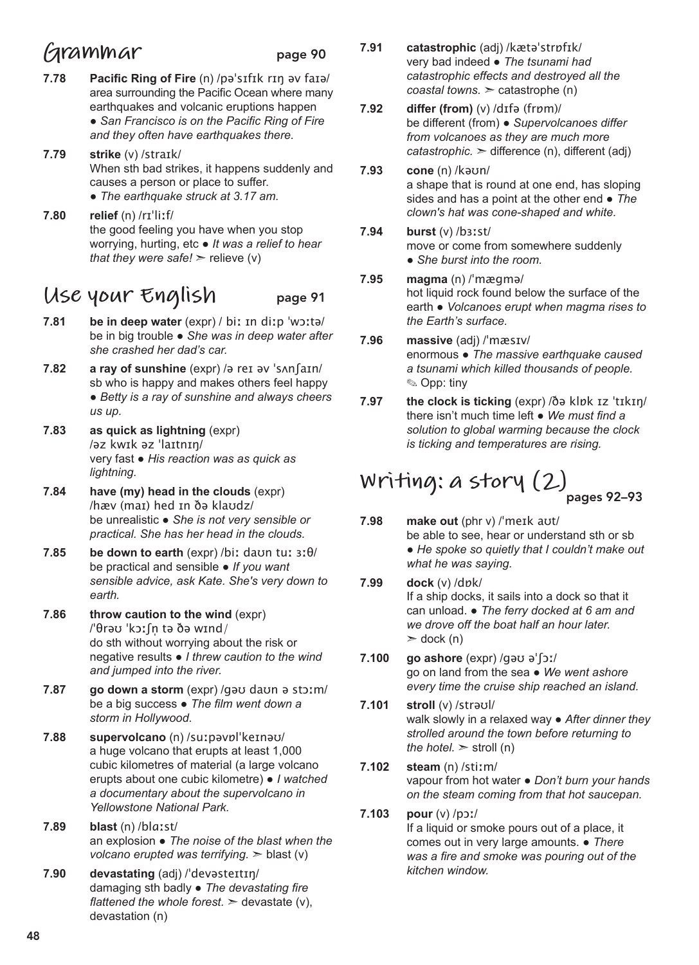## **Grammar** page 90

- **7.78 Pacific Ring of Fire** (n) /pəˈsɪfɪk rɪŋ əv faɪə/ area surrounding the Pacific Ocean where many earthquakes and volcanic eruptions happen ● *San Francisco is on the Pacific Ring of Fire and they often have earthquakes there.*
- **7.79 strike** (v) /straɪk/ When sth bad strikes, it happens suddenly and causes a person or place to suffer. ● *The earthquake struck at 3.17 am.*
- **7.80 relief** (n) /rɪˈliːf/ the good feeling you have when you stop worrying, hurting, etc ● *It was a relief to hear that they were safe!*  $>$  relieve (v)

## **Use your English** page 91

- **7.81 be in deep water** (expr) / biː ɪn diːp ˈwɔːtə/ be in big trouble ● *She was in deep water after she crashed her dad's car.*
- **7.82 a ray of sunshine** (expr) /ə reɪ əv ˈsʌnʃaɪn/ sb who is happy and makes others feel happy ● *Betty is a ray of sunshine and always cheers us up.*
- **7.83 as quick as lightning** (expr) /əz kwɪk əz ˈlaɪtnɪŋ/ very fast ● *His reaction was as quick as lightning.*
- **7.84 have (my) head in the clouds** (expr) /hæv (maɪ) hed ɪn ðə klaʊdz/ be unrealistic ● *She is not very sensible or practical. She has her head in the clouds.*
- **7.85 be down to earth** (expr) /biː daʊn tuː ɜːθ/ be practical and sensible ● *If you want sensible advice, ask Kate. She's very down to earth.*
- **7.86 throw caution to the wind** (expr) /ˈθrəʊ ˈkɔːʃn̩ tə ðə wɪnd/ do sth without worrying about the risk or negative results ● *I threw caution to the wind and jumped into the river.*
- **7.87 go down a storm** (expr) /ɡəʊ daʊn ə stɔːm/ be a big success ● *The film went down a storm in Hollywood.*
- **7.88 supervolcano** (n) /suːpəvɒlˈkeɪnəʊ/ a huge volcano that erupts at least 1,000 cubic kilometres of material (a large volcano erupts about one cubic kilometre) ● *I watched a documentary about the supervolcano in Yellowstone National Park.*
- **7.89 blast** (n) /blɑːst/ an explosion ● *The noise of the blast when the volcano erupted was terrifying.* ➣ blast (v)
- **7.90 devastating** (adj) /ˈdevəsteɪtɪŋ/ damaging sth badly ● *The devastating fire flattened the whole forest.*  $>$  devastate (v), devastation (n)
- **7.91 catastrophic** (adj) /kætəˈstrɒfɪk/ very bad indeed ● *The tsunami had catastrophic effects and destroyed all the coastal towns.* ➣ catastrophe (n)
- **7.92 differ (from)** (v) /dɪfə (frɒm)/ be different (from) ● *Supervolcanoes differ from volcanoes as they are much more catastrophic.* ➣ difference (n), different (adj)
- **7.93 cone** (n) /kəʊn/ a shape that is round at one end, has sloping sides and has a point at the other end ● *The clown's hat was cone-shaped and white.*
- **7.94 burst** (v) /bɜːst/ move or come from somewhere suddenly ● *She burst into the room.*
- **7.95 magma** (n) /ˈmæɡmə/ hot liquid rock found below the surface of the earth ● *Volcanoes erupt when magma rises to the Earth's surface.*
- **7.96 massive** (adj) /ˈmæsɪv/ enormous ● *The massive earthquake caused a tsunami which killed thousands of people.*  ✎ Opp: tiny
- **7.97 the clock is ticking** (expr) /ðə klɒk ɪz ˈtɪkɪŋ/ there isn't much time left ● *We must find a solution to global warming because the clock is ticking and temperatures are rising.*

#### **Writing: a story (2)** pages 92–93

- **7.98 make out** (phr v) /ˈmeɪk aʊt/ be able to see, hear or understand sth or sb ● *He spoke so quietly that I couldn't make out what he was saying.*
- **7.99 dock** (v) /dɒk/ If a ship docks, it sails into a dock so that it can unload. ● *The ferry docked at 6 am and we drove off the boat half an hour later.*   $\geq$  dock (n)
- **7.100 go ashore** (expr) /gəʊ əˈʃɔː/ go on land from the sea ● *We went ashore every time the cruise ship reached an island.*
- **7.101 stroll** (v) /strəʊl/ walk slowly in a relaxed way ● *After dinner they strolled around the town before returning to the hotel.*  $\ge$  stroll (n)
- **7.102 steam** (n) /stiːm/ vapour from hot water ● *Don't burn your hands on the steam coming from that hot saucepan.*
- **7.103 pour** (v) /pɔː/ If a liquid or smoke pours out of a place, it comes out in very large amounts. ● *There was a fire and smoke was pouring out of the kitchen window.*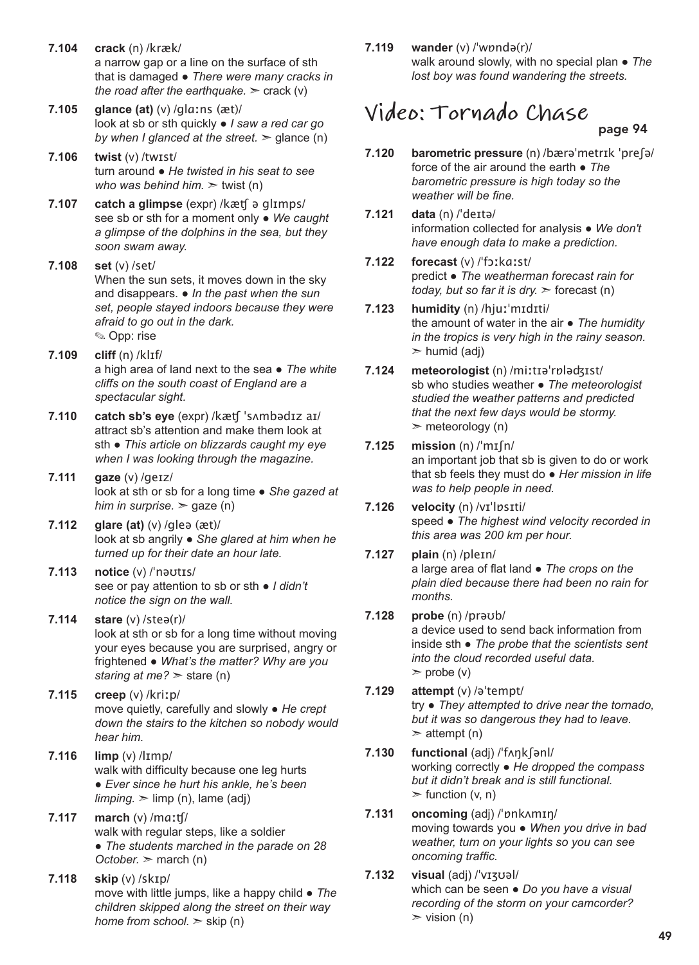**7.104 crack** (n) /kræk/ a narrow gap or a line on the surface of sth that is damaged ● *There were many cracks in the road after the earthquake.*  $\geq$  crack (v)

**7.105 glance (at)** (v) /glɑːns (æt)/ look at sb or sth quickly ● *I saw a red car go by when I glanced at the street.*  $\ge$  glance (n)

- **7.106 twist** (v) /twɪst/ turn around ● *He twisted in his seat to see who was behind him.* ➣ twist (n)
- **7.107 catch a glimpse** (expr) /kæʧ ə glɪmps/ see sb or sth for a moment only ● *We caught a glimpse of the dolphins in the sea, but they soon swam away.*
- **7.108 set** (v) /set/ When the sun sets, it moves down in the sky and disappears. ● *In the past when the sun set, people stayed indoors because they were afraid to go out in the dark.* ✎ Opp: rise
- **7.109 cliff** (n) /klɪf/ a high area of land next to the sea ● *The white cliffs on the south coast of England are a spectacular sight.*
- **7.110 catch sb's eye** (expr) /kæʧ ˈsʌmbədɪz aɪ/ attract sb's attention and make them look at sth ● *This article on blizzards caught my eye when I was looking through the magazine.*
- **7.111 gaze** (v) /ɡeɪz/ look at sth or sb for a long time ● *She gazed at him in surprise.*  $>$  gaze (n)
- **7.112 glare (at)** (v) /gleə (æt)/ look at sb angrily ● *She glared at him when he turned up for their date an hour late.*
- **7.113 notice** (v) /ˈnəʊtɪs/ see or pay attention to sb or sth ● *I didn't notice the sign on the wall.*
- **7.114 stare** (v) /steə(r)/ look at sth or sb for a long time without moving your eyes because you are surprised, angry or frightened ● *What's the matter? Why are you staring at me?* ➣ stare (n)
- **7.115 creep** (v) /kriːp/ move quietly, carefully and slowly ● *He crept down the stairs to the kitchen so nobody would hear him.*
- **7.116 limp** (v) /lɪmp/ walk with difficulty because one leg hurts ● *Ever since he hurt his ankle, he's been*   $limping.$   $\ge$   $limp (n)$ ,  $lame (adj)$
- **7.117 march** (v) /mɑːʧ/ walk with regular steps, like a soldier ● *The students marched in the parade on 28 October.* ➣ march (n)
- **7.118 skip** (v) /skɪp/ move with little jumps, like a happy child ● *The children skipped along the street on their way home from school.*  $>$  skip (n)

**7.119 wander** (v) /ˈwɒndə(r)/ walk around slowly, with no special plan ● *The lost boy was found wandering the streets.*

# **Video: Tornado Chase**

page 94

- **7.120 barometric pressure** (n) /bærəˈmetrɪk ˈpreʃə/ force of the air around the earth ● *The barometric pressure is high today so the weather will be fine.*
- **7.121 data** (n) /ˈdeɪtə/ information collected for analysis ● *We don't have enough data to make a prediction.*
- **7.122 forecast** (v) /ˈfɔːkɑːst/ predict ● *The weatherman forecast rain for today, but so far it is dry.*  $\ge$  forecast (n)
- **7.123 humidity** (n) /hjuːˈmɪdɪti/ the amount of water in the air ● *The humidity in the tropics is very high in the rainy season.*   $\triangleright$  humid (adj)
- **7.124 meteorologist** (n) /miːtɪəˈrɒləʤɪst/ sb who studies weather ● *The meteorologist studied the weather patterns and predicted that the next few days would be stormy.*   $\triangleright$  meteorology (n)
- **7.125 mission** (n) /ˈmɪʃn/ an important job that sb is given to do or work that sb feels they must do ● *Her mission in life was to help people in need.*
- **7.126 velocity** (n) /vɪˈlɒsɪti/ speed ● *The highest wind velocity recorded in this area was 200 km per hour.*
- **7.127 plain** (n) /pleɪn/ a large area of flat land ● *The crops on the plain died because there had been no rain for months.*
- **7.128 probe** (n) /prəʊb/ a device used to send back information from inside sth ● *The probe that the scientists sent into the cloud recorded useful data.*   $\triangleright$  probe (v)
- **7.129 attempt** (v) /əˈtempt/ try ● *They attempted to drive near the tornado, but it was so dangerous they had to leave.*   $\geq$  attempt (n)
- **7.130 functional** (adj) /ˈfʌŋkʃənl/ working correctly ● *He dropped the compass but it didn't break and is still functional.*   $\blacktriangleright$  function (v, n)
- **7.131 oncoming** (adj) /ˈɒnkʌmɪŋ/ moving towards you ● *When you drive in bad weather, turn on your lights so you can see oncoming traffic.*
- **7.132 visual** (adj) /ˈvɪʒʊəl/ which can be seen ● *Do you have a visual recording of the storm on your camcorder?*   $\triangleright$  vision (n)